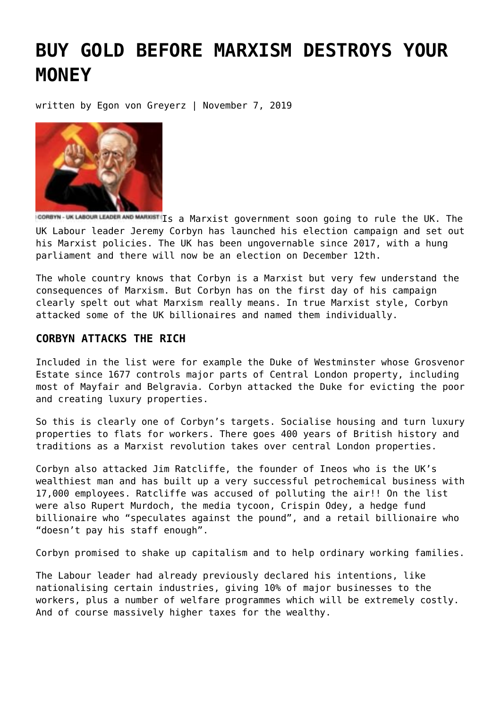# **[BUY GOLD BEFORE MARXISM DESTROYS YOUR](https://goldswitzerland.com/buy-gold-before-marxism-destroys-your-money/) [MONEY](https://goldswitzerland.com/buy-gold-before-marxism-destroys-your-money/)**

written by Egon von Greyerz | November 7, 2019



ICOREYN-UK LABOUR LEADER AND MARXIST Is a Marxist government soon going to rule the UK. The UK Labour leader Jeremy Corbyn has launched his election campaign and set out his Marxist policies. The UK has been ungovernable since 2017, with a hung parliament and there will now be an election on December 12th.

The whole country knows that Corbyn is a Marxist but very few understand the consequences of Marxism. But Corbyn has on the first day of his campaign clearly spelt out what Marxism really means. In true Marxist style, Corbyn attacked some of the UK billionaires and named them individually.

### **CORBYN ATTACKS THE RICH**

Included in the list were for example the Duke of Westminster whose Grosvenor Estate since 1677 controls major parts of Central London property, including most of Mayfair and Belgravia. Corbyn attacked the Duke for evicting the poor and creating luxury properties.

So this is clearly one of Corbyn's targets. Socialise housing and turn luxury properties to flats for workers. There goes 400 years of British history and traditions as a Marxist revolution takes over central London properties.

Corbyn also attacked Jim Ratcliffe, the founder of Ineos who is the UK's wealthiest man and has built up a very successful petrochemical business with 17,000 employees. Ratcliffe was accused of polluting the air!! On the list were also Rupert Murdoch, the media tycoon, Crispin Odey, a hedge fund billionaire who "speculates against the pound", and a retail billionaire who "doesn't pay his staff enough".

Corbyn promised to shake up capitalism and to help ordinary working families.

The Labour leader had already previously declared his intentions, like nationalising certain industries, giving 10% of major businesses to the workers, plus a number of welfare programmes which will be extremely costly. And of course massively higher taxes for the wealthy.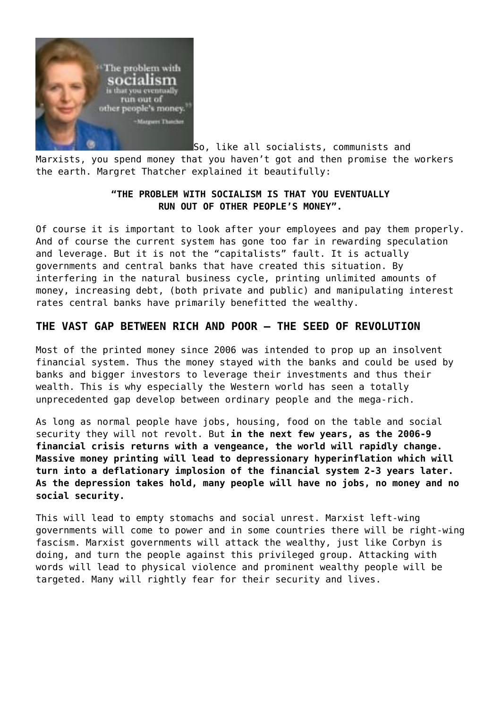

So, like all socialists, communists and

Marxists, you spend money that you haven't got and then promise the workers the earth. Margret Thatcher explained it beautifully:

# **"THE PROBLEM WITH SOCIALISM IS THAT YOU EVENTUALLY RUN OUT OF OTHER PEOPLE'S MONEY".**

Of course it is important to look after your employees and pay them properly. And of course the current system has gone too far in rewarding speculation and leverage. But it is not the "capitalists" fault. It is actually governments and central banks that have created this situation. By interfering in the natural business cycle, printing unlimited amounts of money, increasing debt, (both private and public) and manipulating interest rates central banks have primarily benefitted the wealthy.

# **THE VAST GAP BETWEEN RICH AND POOR – THE SEED OF REVOLUTION**

Most of the printed money since 2006 was intended to prop up an insolvent financial system. Thus the money stayed with the banks and could be used by banks and bigger investors to leverage their investments and thus their wealth. This is why especially the Western world has seen a totally unprecedented gap develop between ordinary people and the mega-rich.

As long as normal people have jobs, housing, food on the table and social security they will not revolt. But **in the next few years, as the 2006-9 financial crisis returns with a vengeance, the world will rapidly change. Massive money printing will lead to depressionary hyperinflation which will turn into a deflationary implosion of the financial system 2-3 years later. As the depression takes hold, many people will have no jobs, no money and no social security.**

This will lead to empty stomachs and social unrest. Marxist left-wing governments will come to power and in some countries there will be right-wing fascism. Marxist governments will attack the wealthy, just like Corbyn is doing, and turn the people against this privileged group. Attacking with words will lead to physical violence and prominent wealthy people will be targeted. Many will rightly fear for their security and lives.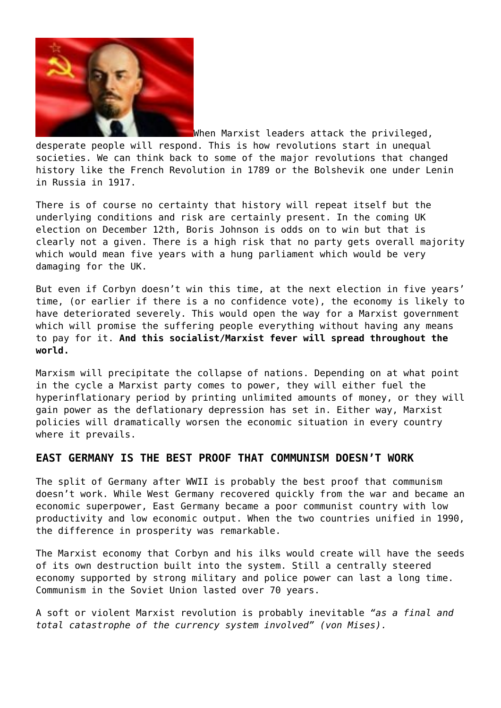

When Marxist leaders attack the privileged, desperate people will respond. This is how revolutions start in unequal societies. We can think back to some of the major revolutions that changed history like the French Revolution in 1789 or the Bolshevik one under Lenin in Russia in 1917.

There is of course no certainty that history will repeat itself but the underlying conditions and risk are certainly present. In the coming UK election on December 12th, Boris Johnson is odds on to win but that is clearly not a given. There is a high risk that no party gets overall majority which would mean five years with a hung parliament which would be very damaging for the UK.

But even if Corbyn doesn't win this time, at the next election in five years' time, (or earlier if there is a no confidence vote), the economy is likely to have deteriorated severely. This would open the way for a Marxist government which will promise the suffering people everything without having any means to pay for it. **And this socialist/Marxist fever will spread throughout the world.**

Marxism will precipitate the collapse of nations. Depending on at what point in the cycle a Marxist party comes to power, they will either fuel the hyperinflationary period by printing unlimited amounts of money, or they will gain power as the deflationary depression has set in. Either way, Marxist policies will dramatically worsen the economic situation in every country where it prevails.

#### **EAST GERMANY IS THE BEST PROOF THAT COMMUNISM DOESN'T WORK**

The split of Germany after WWII is probably the best proof that communism doesn't work. While West Germany recovered quickly from the war and became an economic superpower, East Germany became a poor communist country with low productivity and low economic output. When the two countries unified in 1990, the difference in prosperity was remarkable.

The Marxist economy that Corbyn and his ilks would create will have the seeds of its own destruction built into the system. Still a centrally steered economy supported by strong military and police power can last a long time. Communism in the Soviet Union lasted over 70 years.

A soft or violent Marxist revolution is probably inevitable *"as a final and total catastrophe of the currency system involved" (von Mises).*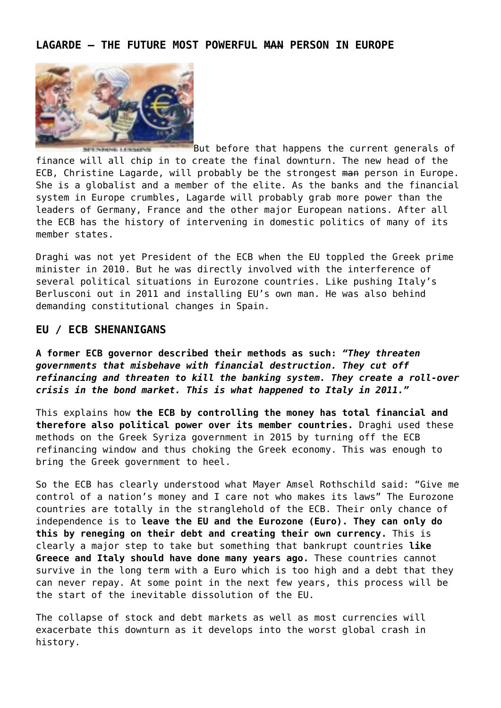## **LAGARDE – THE FUTURE MOST POWERFUL MAN PERSON IN EUROPE**



But before that happens the current generals of finance will all chip in to create the final downturn. The new head of the ECB, Christine Lagarde, will probably be the strongest man person in Europe. She is a globalist and a member of the elite. As the banks and the financial system in Europe crumbles, Lagarde will probably grab more power than the leaders of Germany, France and the other major European nations. After all the ECB has the history of intervening in domestic politics of many of its member states.

Draghi was not yet President of the ECB when the EU toppled the Greek prime minister in 2010. But he was directly involved with the interference of several political situations in Eurozone countries. Like pushing Italy's Berlusconi out in 2011 and installing EU's own man. He was also behind demanding constitutional changes in Spain.

#### **EU / ECB SHENANIGANS**

**A former ECB governor described their methods as such:** *"They threaten governments that misbehave with financial destruction. They cut off refinancing and threaten to kill the banking system. They create a roll-over crisis in the bond market. This is what happened to Italy in 2011."*

This explains how **the ECB by controlling the money has total financial and therefore also political power over its member countries.** Draghi used these methods on the Greek Syriza government in 2015 by turning off the ECB refinancing window and thus choking the Greek economy. This was enough to bring the Greek government to heel.

So the ECB has clearly understood what Mayer Amsel Rothschild said: "Give me control of a nation's money and I care not who makes its laws" The Eurozone countries are totally in the stranglehold of the ECB. Their only chance of independence is to **leave the EU and the Eurozone (Euro). They can only do this by reneging on their debt and creating their own currency.** This is clearly a major step to take but something that bankrupt countries **like Greece and Italy should have done many years ago.** These countries cannot survive in the long term with a Euro which is too high and a debt that they can never repay. At some point in the next few years, this process will be the start of the inevitable dissolution of the EU.

The collapse of stock and debt markets as well as most currencies will exacerbate this downturn as it develops into the worst global crash in history.